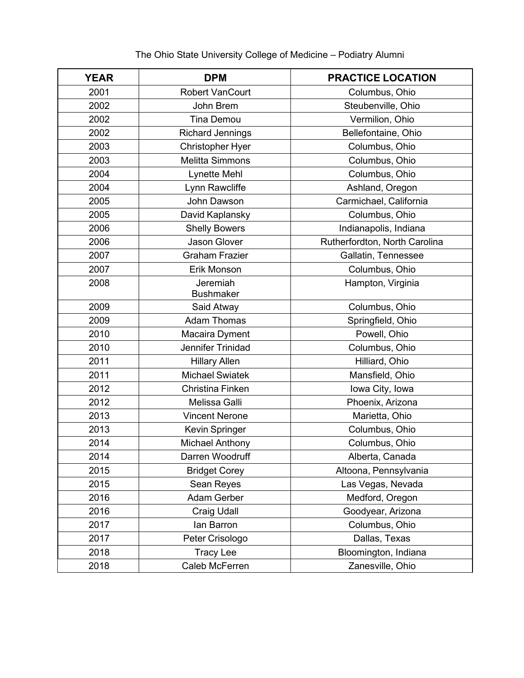| <b>YEAR</b> | <b>DPM</b>                   | <b>PRACTICE LOCATION</b>      |
|-------------|------------------------------|-------------------------------|
| 2001        | <b>Robert VanCourt</b>       | Columbus, Ohio                |
| 2002        | John Brem                    | Steubenville, Ohio            |
| 2002        | <b>Tina Demou</b>            | Vermilion, Ohio               |
| 2002        | <b>Richard Jennings</b>      | Bellefontaine, Ohio           |
| 2003        | <b>Christopher Hyer</b>      | Columbus, Ohio                |
| 2003        | <b>Melitta Simmons</b>       | Columbus, Ohio                |
| 2004        | <b>Lynette Mehl</b>          | Columbus, Ohio                |
| 2004        | Lynn Rawcliffe               | Ashland, Oregon               |
| 2005        | John Dawson                  | Carmichael, California        |
| 2005        | David Kaplansky              | Columbus, Ohio                |
| 2006        | <b>Shelly Bowers</b>         | Indianapolis, Indiana         |
| 2006        | Jason Glover                 | Rutherfordton, North Carolina |
| 2007        | <b>Graham Frazier</b>        | Gallatin, Tennessee           |
| 2007        | Erik Monson                  | Columbus, Ohio                |
| 2008        | Jeremiah<br><b>Bushmaker</b> | Hampton, Virginia             |
| 2009        | Said Atway                   | Columbus, Ohio                |
| 2009        | <b>Adam Thomas</b>           | Springfield, Ohio             |
| 2010        | Macaira Dyment               | Powell, Ohio                  |
| 2010        | Jennifer Trinidad            | Columbus, Ohio                |
| 2011        | <b>Hillary Allen</b>         | Hilliard, Ohio                |
| 2011        | <b>Michael Swiatek</b>       | Mansfield, Ohio               |
| 2012        | Christina Finken             | Iowa City, Iowa               |
| 2012        | Melissa Galli                | Phoenix, Arizona              |
| 2013        | <b>Vincent Nerone</b>        | Marietta, Ohio                |
| 2013        | Kevin Springer               | Columbus, Ohio                |
| 2014        | <b>Michael Anthony</b>       | Columbus, Ohio                |
| 2014        | Darren Woodruff              | Alberta, Canada               |
| 2015        | <b>Bridget Corey</b>         | Altoona, Pennsylvania         |
| 2015        | Sean Reyes                   | Las Vegas, Nevada             |
| 2016        | <b>Adam Gerber</b>           | Medford, Oregon               |
| 2016        | <b>Craig Udall</b>           | Goodyear, Arizona             |
| 2017        | lan Barron                   | Columbus, Ohio                |
| 2017        | Peter Crisologo              | Dallas, Texas                 |
| 2018        | <b>Tracy Lee</b>             | Bloomington, Indiana          |
| 2018        | Caleb McFerren               | Zanesville, Ohio              |

## The Ohio State University College of Medicine – Podiatry Alumni